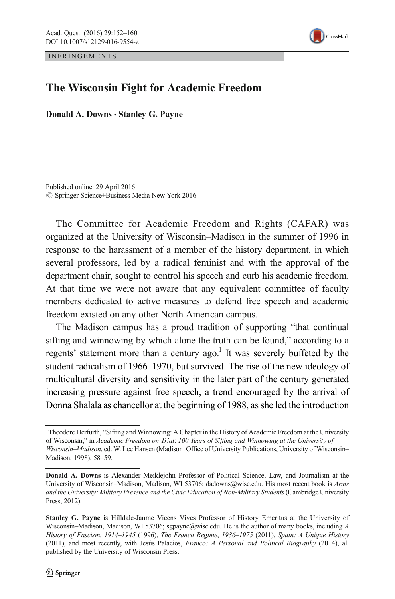INFRINGEMENTS



## The Wisconsin Fight for Academic Freedom

Donald A. Downs . Stanley G. Payne

Published online: 29 April 2016  $\oslash$  Springer Science+Business Media New York 2016

The Committee for Academic Freedom and Rights (CAFAR) was organized at the University of Wisconsin–Madison in the summer of 1996 in response to the harassment of a member of the history department, in which several professors, led by a radical feminist and with the approval of the department chair, sought to control his speech and curb his academic freedom. At that time we were not aware that any equivalent committee of faculty members dedicated to active measures to defend free speech and academic freedom existed on any other North American campus.

The Madison campus has a proud tradition of supporting "that continual sifting and winnowing by which alone the truth can be found," according to a regents' statement more than a century  $ago<sup>1</sup>$  It was severely buffeted by the student radicalism of 1966–1970, but survived. The rise of the new ideology of multicultural diversity and sensitivity in the later part of the century generated increasing pressure against free speech, a trend encouraged by the arrival of Donna Shalala as chancellor at the beginning of 1988, as she led the introduction

<sup>&</sup>lt;sup>1</sup>Theodore Herfurth, "Sifting and Winnowing: A Chapter in the History of Academic Freedom at the University of Wisconsin," in Academic Freedom on Trial: 100 Years of Sifting and Winnowing at the University of Wisconsin–Madison, ed. W. Lee Hansen (Madison: Office of University Publications, University of Wisconsin– Madison, 1998), 58–59.

Donald A. Downs is Alexander Meiklejohn Professor of Political Science, Law, and Journalism at the University of Wisconsin-Madison, Madison, WI 53706; dadowns@wisc.edu. His most recent book is Arms and the University: Military Presence and the Civic Education of Non-Military Students(Cambridge University Press, 2012).

Stanley G. Payne is Hilldale-Jaume Vicens Vives Professor of History Emeritus at the University of Wisconsin–Madison, Madison, WI 53706; sgpayne@wisc.edu. He is the author of many books, including A History of Fascism, 1914–1945 (1996), The Franco Regime, 1936–1975 (2011), Spain: A Unique History (2011), and most recently, with Jesús Palacios, Franco: A Personal and Political Biography (2014), all published by the University of Wisconsin Press.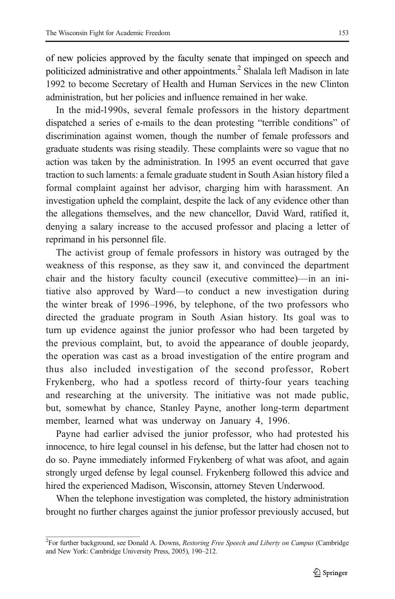of new policies approved by the faculty senate that impinged on speech and politicized administrative and other appointments.<sup>2</sup> Shalala left Madison in late 1992 to become Secretary of Health and Human Services in the new Clinton administration, but her policies and influence remained in her wake.

In the mid-1990s, several female professors in the history department dispatched a series of e-mails to the dean protesting "terrible conditions" of discrimination against women, though the number of female professors and graduate students was rising steadily. These complaints were so vague that no action was taken by the administration. In 1995 an event occurred that gave traction to such laments: a female graduate student in South Asian history filed a formal complaint against her advisor, charging him with harassment. An investigation upheld the complaint, despite the lack of any evidence other than the allegations themselves, and the new chancellor, David Ward, ratified it, denying a salary increase to the accused professor and placing a letter of reprimand in his personnel file.

The activist group of female professors in history was outraged by the weakness of this response, as they saw it, and convinced the department chair and the history faculty council (executive committee)—in an initiative also approved by Ward—to conduct a new investigation during the winter break of 1996–1996, by telephone, of the two professors who directed the graduate program in South Asian history. Its goal was to turn up evidence against the junior professor who had been targeted by the previous complaint, but, to avoid the appearance of double jeopardy, the operation was cast as a broad investigation of the entire program and thus also included investigation of the second professor, Robert Frykenberg, who had a spotless record of thirty-four years teaching and researching at the university. The initiative was not made public, but, somewhat by chance, Stanley Payne, another long-term department member, learned what was underway on January 4, 1996.

Payne had earlier advised the junior professor, who had protested his innocence, to hire legal counsel in his defense, but the latter had chosen not to do so. Payne immediately informed Frykenberg of what was afoot, and again strongly urged defense by legal counsel. Frykenberg followed this advice and hired the experienced Madison, Wisconsin, attorney Steven Underwood.

When the telephone investigation was completed, the history administration brought no further charges against the junior professor previously accused, but

<sup>&</sup>lt;sup>2</sup>For further background, see Donald A. Downs, Restoring Free Speech and Liberty on Campus (Cambridge and New York: Cambridge University Press, 2005), 190–212.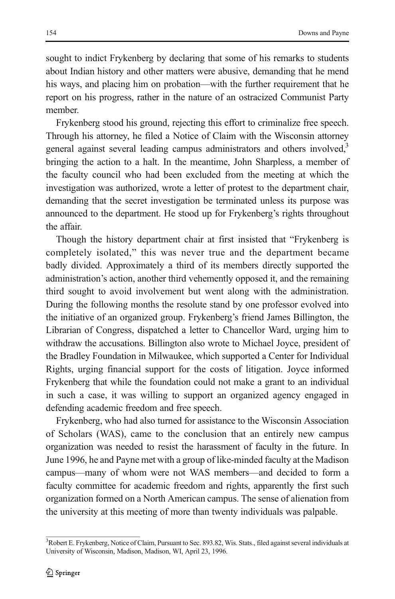sought to indict Frykenberg by declaring that some of his remarks to students about Indian history and other matters were abusive, demanding that he mend his ways, and placing him on probation—with the further requirement that he report on his progress, rather in the nature of an ostracized Communist Party member.

Frykenberg stood his ground, rejecting this effort to criminalize free speech. Through his attorney, he filed a Notice of Claim with the Wisconsin attorney general against several leading campus administrators and others involved,<sup>3</sup> bringing the action to a halt. In the meantime, John Sharpless, a member of the faculty council who had been excluded from the meeting at which the investigation was authorized, wrote a letter of protest to the department chair, demanding that the secret investigation be terminated unless its purpose was announced to the department. He stood up for Frykenberg's rights throughout the affair.

Though the history department chair at first insisted that "Frykenberg is completely isolated," this was never true and the department became badly divided. Approximately a third of its members directly supported the administration's action, another third vehemently opposed it, and the remaining third sought to avoid involvement but went along with the administration. During the following months the resolute stand by one professor evolved into the initiative of an organized group. Frykenberg's friend James Billington, the Librarian of Congress, dispatched a letter to Chancellor Ward, urging him to withdraw the accusations. Billington also wrote to Michael Joyce, president of the Bradley Foundation in Milwaukee, which supported a Center for Individual Rights, urging financial support for the costs of litigation. Joyce informed Frykenberg that while the foundation could not make a grant to an individual in such a case, it was willing to support an organized agency engaged in defending academic freedom and free speech.

Frykenberg, who had also turned for assistance to the Wisconsin Association of Scholars (WAS), came to the conclusion that an entirely new campus organization was needed to resist the harassment of faculty in the future. In June 1996, he and Payne met with a group of like-minded faculty at the Madison campus—many of whom were not WAS members—and decided to form a faculty committee for academic freedom and rights, apparently the first such organization formed on a North American campus. The sense of alienation from the university at this meeting of more than twenty individuals was palpable.

<sup>&</sup>lt;sup>3</sup>Robert E. Frykenberg, Notice of Claim, Pursuant to Sec. 893.82, Wis. Stats., filed against several individuals at University of Wisconsin, Madison, Madison, WI, April 23, 1996.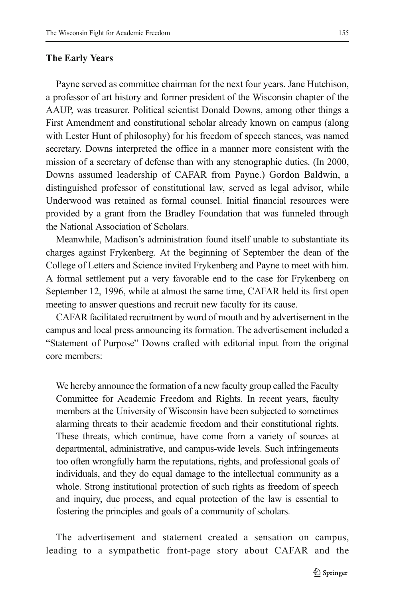## The Early Years

Payne served as committee chairman for the next four years. Jane Hutchison, a professor of art history and former president of the Wisconsin chapter of the AAUP, was treasurer. Political scientist Donald Downs, among other things a First Amendment and constitutional scholar already known on campus (along with Lester Hunt of philosophy) for his freedom of speech stances, was named secretary. Downs interpreted the office in a manner more consistent with the mission of a secretary of defense than with any stenographic duties. (In 2000, Downs assumed leadership of CAFAR from Payne.) Gordon Baldwin, a distinguished professor of constitutional law, served as legal advisor, while Underwood was retained as formal counsel. Initial financial resources were provided by a grant from the Bradley Foundation that was funneled through the National Association of Scholars.

Meanwhile, Madison's administration found itself unable to substantiate its charges against Frykenberg. At the beginning of September the dean of the College of Letters and Science invited Frykenberg and Payne to meet with him. A formal settlement put a very favorable end to the case for Frykenberg on September 12, 1996, while at almost the same time, CAFAR held its first open meeting to answer questions and recruit new faculty for its cause.

CAFAR facilitated recruitment by word of mouth and by advertisement in the campus and local press announcing its formation. The advertisement included a "Statement of Purpose" Downs crafted with editorial input from the original core members:

We hereby announce the formation of a new faculty group called the Faculty Committee for Academic Freedom and Rights. In recent years, faculty members at the University of Wisconsin have been subjected to sometimes alarming threats to their academic freedom and their constitutional rights. These threats, which continue, have come from a variety of sources at departmental, administrative, and campus-wide levels. Such infringements too often wrongfully harm the reputations, rights, and professional goals of individuals, and they do equal damage to the intellectual community as a whole. Strong institutional protection of such rights as freedom of speech and inquiry, due process, and equal protection of the law is essential to fostering the principles and goals of a community of scholars.

The advertisement and statement created a sensation on campus, leading to a sympathetic front-page story about CAFAR and the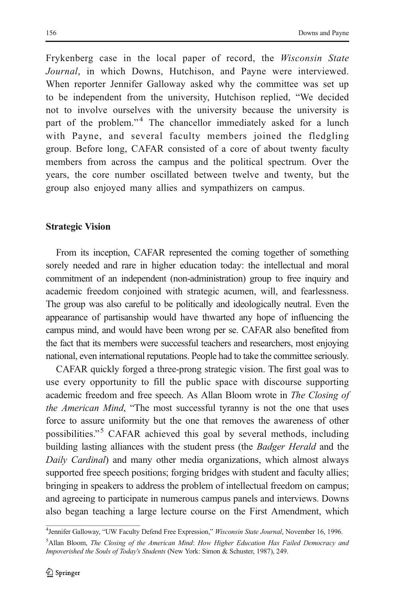Frykenberg case in the local paper of record, the Wisconsin State Journal, in which Downs, Hutchison, and Payne were interviewed. When reporter Jennifer Galloway asked why the committee was set up to be independent from the university, Hutchison replied, "We decided not to involve ourselves with the university because the university is part of the problem."<sup>4</sup> The chancellor immediately asked for a lunch with Payne, and several faculty members joined the fledgling group. Before long, CAFAR consisted of a core of about twenty faculty members from across the campus and the political spectrum. Over the years, the core number oscillated between twelve and twenty, but the group also enjoyed many allies and sympathizers on campus.

## Strategic Vision

From its inception, CAFAR represented the coming together of something sorely needed and rare in higher education today: the intellectual and moral commitment of an independent (non-administration) group to free inquiry and academic freedom conjoined with strategic acumen, will, and fearlessness. The group was also careful to be politically and ideologically neutral. Even the appearance of partisanship would have thwarted any hope of influencing the campus mind, and would have been wrong per se. CAFAR also benefited from the fact that its members were successful teachers and researchers, most enjoying national, even international reputations. People had to take the committee seriously.

CAFAR quickly forged a three-prong strategic vision. The first goal was to use every opportunity to fill the public space with discourse supporting academic freedom and free speech. As Allan Bloom wrote in The Closing of the American Mind, "The most successful tyranny is not the one that uses force to assure uniformity but the one that removes the awareness of other possibilities."<sup>5</sup> CAFAR achieved this goal by several methods, including building lasting alliances with the student press (the Badger Herald and the Daily Cardinal) and many other media organizations, which almost always supported free speech positions; forging bridges with student and faculty allies; bringing in speakers to address the problem of intellectual freedom on campus; and agreeing to participate in numerous campus panels and interviews. Downs also began teaching a large lecture course on the First Amendment, which

<sup>&</sup>lt;sup>4</sup>Jennifer Galloway, "UW Faculty Defend Free Expression," Wisconsin State Journal, November 16, 1996.

<sup>&</sup>lt;sup>5</sup>Allan Bloom, The Closing of the American Mind: How Higher Education Has Failed Democracy and Impoverished the Souls of Today's Students (New York: Simon & Schuster, 1987), 249.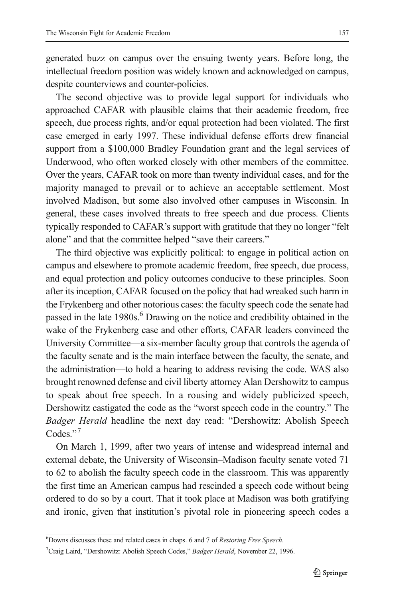generated buzz on campus over the ensuing twenty years. Before long, the intellectual freedom position was widely known and acknowledged on campus, despite counterviews and counter-policies.

The second objective was to provide legal support for individuals who approached CAFAR with plausible claims that their academic freedom, free speech, due process rights, and/or equal protection had been violated. The first case emerged in early 1997. These individual defense efforts drew financial support from a \$100,000 Bradley Foundation grant and the legal services of Underwood, who often worked closely with other members of the committee. Over the years, CAFAR took on more than twenty individual cases, and for the majority managed to prevail or to achieve an acceptable settlement. Most involved Madison, but some also involved other campuses in Wisconsin. In general, these cases involved threats to free speech and due process. Clients typically responded to CAFAR's support with gratitude that they no longer "felt alone" and that the committee helped "save their careers."

The third objective was explicitly political: to engage in political action on campus and elsewhere to promote academic freedom, free speech, due process, and equal protection and policy outcomes conducive to these principles. Soon after its inception, CAFAR focused on the policy that had wreaked such harm in the Frykenberg and other notorious cases: the faculty speech code the senate had passed in the late 1980s.<sup>6</sup> Drawing on the notice and credibility obtained in the wake of the Frykenberg case and other efforts, CAFAR leaders convinced the University Committee—a six-member faculty group that controls the agenda of the faculty senate and is the main interface between the faculty, the senate, and the administration—to hold a hearing to address revising the code. WAS also brought renowned defense and civil liberty attorney Alan Dershowitz to campus to speak about free speech. In a rousing and widely publicized speech, Dershowitz castigated the code as the "worst speech code in the country." The Badger Herald headline the next day read: "Dershowitz: Abolish Speech Codes."<sup>7</sup>

On March 1, 1999, after two years of intense and widespread internal and external debate, the University of Wisconsin–Madison faculty senate voted 71 to 62 to abolish the faculty speech code in the classroom. This was apparently the first time an American campus had rescinded a speech code without being ordered to do so by a court. That it took place at Madison was both gratifying and ironic, given that institution's pivotal role in pioneering speech codes a

<sup>&</sup>lt;sup>6</sup>Downs discusses these and related cases in chaps. 6 and 7 of Restoring Free Speech.

<sup>&</sup>lt;sup>7</sup>Craig Laird, "Dershowitz: Abolish Speech Codes," Badger Herald, November 22, 1996.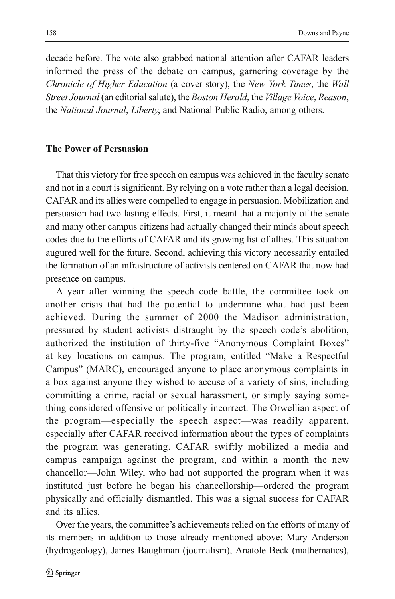decade before. The vote also grabbed national attention after CAFAR leaders informed the press of the debate on campus, garnering coverage by the Chronicle of Higher Education (a cover story), the New York Times, the Wall Street Journal (an editorial salute), the Boston Herald, the Village Voice, Reason, the National Journal, Liberty, and National Public Radio, among others.

## The Power of Persuasion

That this victory for free speech on campus was achieved in the faculty senate and not in a court is significant. By relying on a vote rather than a legal decision, CAFAR and its allies were compelled to engage in persuasion. Mobilization and persuasion had two lasting effects. First, it meant that a majority of the senate and many other campus citizens had actually changed their minds about speech codes due to the efforts of CAFAR and its growing list of allies. This situation augured well for the future. Second, achieving this victory necessarily entailed the formation of an infrastructure of activists centered on CAFAR that now had presence on campus.

A year after winning the speech code battle, the committee took on another crisis that had the potential to undermine what had just been achieved. During the summer of 2000 the Madison administration, pressured by student activists distraught by the speech code's abolition, authorized the institution of thirty-five "Anonymous Complaint Boxes" at key locations on campus. The program, entitled "Make a Respectful Campus" (MARC), encouraged anyone to place anonymous complaints in a box against anyone they wished to accuse of a variety of sins, including committing a crime, racial or sexual harassment, or simply saying something considered offensive or politically incorrect. The Orwellian aspect of the program—especially the speech aspect—was readily apparent, especially after CAFAR received information about the types of complaints the program was generating. CAFAR swiftly mobilized a media and campus campaign against the program, and within a month the new chancellor—John Wiley, who had not supported the program when it was instituted just before he began his chancellorship—ordered the program physically and officially dismantled. This was a signal success for CAFAR and its allies.

Over the years, the committee's achievements relied on the efforts of many of its members in addition to those already mentioned above: Mary Anderson (hydrogeology), James Baughman (journalism), Anatole Beck (mathematics),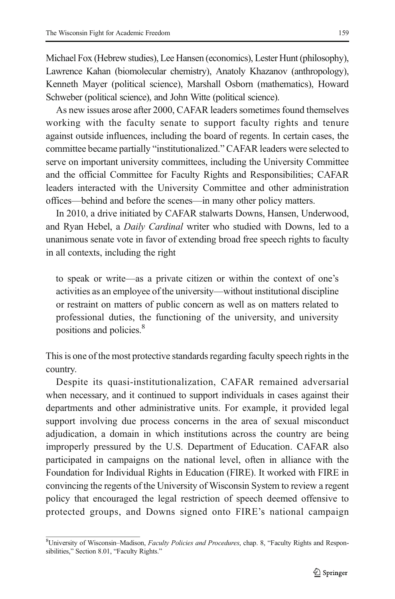Michael Fox (Hebrew studies), Lee Hansen (economics), Lester Hunt (philosophy), Lawrence Kahan (biomolecular chemistry), Anatoly Khazanov (anthropology), Kenneth Mayer (political science), Marshall Osborn (mathematics), Howard Schweber (political science), and John Witte (political science).

As new issues arose after 2000, CAFAR leaders sometimes found themselves working with the faculty senate to support faculty rights and tenure against outside influences, including the board of regents. In certain cases, the committee became partially "institutionalized." CAFAR leaders were selected to serve on important university committees, including the University Committee and the official Committee for Faculty Rights and Responsibilities; CAFAR leaders interacted with the University Committee and other administration offices—behind and before the scenes—in many other policy matters.

In 2010, a drive initiated by CAFAR stalwarts Downs, Hansen, Underwood, and Ryan Hebel, a Daily Cardinal writer who studied with Downs, led to a unanimous senate vote in favor of extending broad free speech rights to faculty in all contexts, including the right

to speak or write—as a private citizen or within the context of one's activities as an employee of the university—without institutional discipline or restraint on matters of public concern as well as on matters related to professional duties, the functioning of the university, and university positions and policies.<sup>8</sup>

This is one of the most protective standards regarding faculty speech rights in the country.

Despite its quasi-institutionalization, CAFAR remained adversarial when necessary, and it continued to support individuals in cases against their departments and other administrative units. For example, it provided legal support involving due process concerns in the area of sexual misconduct adjudication, a domain in which institutions across the country are being improperly pressured by the U.S. Department of Education. CAFAR also participated in campaigns on the national level, often in alliance with the Foundation for Individual Rights in Education (FIRE). It worked with FIRE in convincing the regents of the University of Wisconsin System to review a regent policy that encouraged the legal restriction of speech deemed offensive to protected groups, and Downs signed onto FIRE's national campaign

<sup>&</sup>lt;sup>8</sup>University of Wisconsin-Madison, Faculty Policies and Procedures, chap. 8, "Faculty Rights and Responsibilities," Section 8.01, "Faculty Rights."